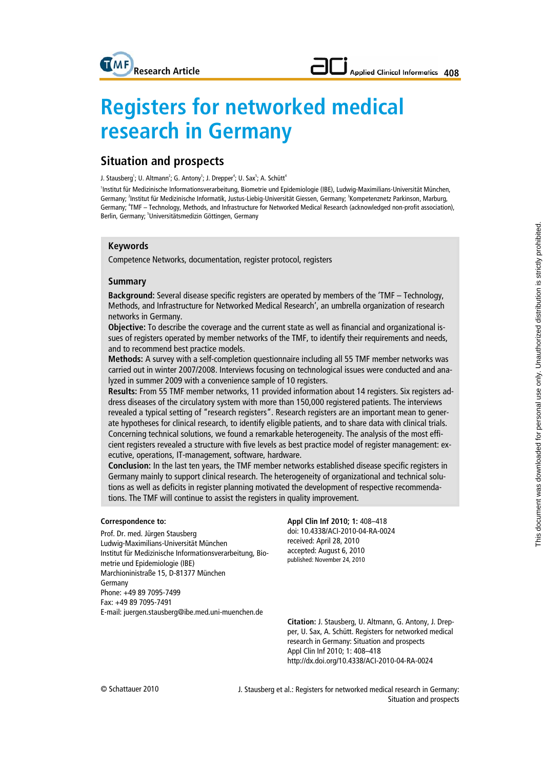# **Applied Clinical Informatics 408**

# **Registers for networked medical research in Germany**

## **Situation and prospects**

J. Stausberg<sup>1</sup>; U. Altmann<sup>2</sup>; G. Antony<sup>3</sup>; J. Drepper<sup>4</sup>; U. Sax<sup>5</sup>; A. Schütt<sup>4</sup>

1 Institut für Medizinische Informationsverarbeitung, Biometrie und Epidemiologie (IBE), Ludwig-Maximilians-Universität München, Germany; <sup>2</sup>Institut für Medizinische Informatik, Justus-Liebig-Universität Giessen, Germany; <sup>3</sup>Kompetenznetz Parkinson, Marburg, Germany; <sup>4</sup>TMF - Technology, Methods, and Infrastructure for Networked Medical Research (acknowledged non-profit association), Berlin, Germany; <sup>5</sup>Universitätsmedizin Göttingen, Germany

#### **Keywords**

Competence Networks, documentation, register protocol, registers

#### **Summary**

**Background:** Several disease specific registers are operated by members of the 'TMF – Technology, Methods, and Infrastructure for Networked Medical Research', an umbrella organization of research networks in Germany.

**Objective:** To describe the coverage and the current state as well as financial and organizational issues of registers operated by member networks of the TMF, to identify their requirements and needs, and to recommend best practice models.

**Methods:** A survey with a self-completion questionnaire including all 55 TMF member networks was carried out in winter 2007/2008. Interviews focusing on technological issues were conducted and analyzed in summer 2009 with a convenience sample of 10 registers.

**Results:** From 55 TMF member networks, 11 provided information about 14 registers. Six registers address diseases of the circulatory system with more than 150,000 registered patients. The interviews revealed a typical setting of "research registers". Research registers are an important mean to generate hypotheses for clinical research, to identify eligible patients, and to share data with clinical trials. Concerning technical solutions, we found a remarkable heterogeneity. The analysis of the most efficient registers revealed a structure with five levels as best practice model of register management: executive, operations, IT-management, software, hardware.

**Conclusion:** In the last ten years, the TMF member networks established disease specific registers in Germany mainly to support clinical research. The heterogeneity of organizational and technical solutions as well as deficits in register planning motivated the development of respective recommendations. The TMF will continue to assist the registers in quality improvement.

#### **Correspondence to:**

Prof. Dr. med. Jürgen Stausberg Ludwig-Maximilians-Universität München Institut für Medizinische Informationsverarbeitung, Biometrie und Epidemiologie (IBE) Marchioninistraße 15, D-81377 München Germany Phone: +49 89 7095-7499 Fax: +49 89 7095-7491 E-mail: juergen.stausberg@ibe.med.uni-muenchen.de

**Appl Clin Inf 2010; 1:** 408–418 doi: 10.4338/ACI-2010-04-RA-0024 received: April 28, 2010 accepted: August 6, 2010 published: November 24, 2010

**Citation:** J. Stausberg, U. Altmann, G. Antony, J. Drepper, U. Sax, A. Schütt. Registers for networked medical research in Germany: Situation and prospects Appl Clin Inf 2010; 1: 408–418 http://dx.doi.org/10.4338/ACI-2010-04-RA-0024

J. Stausberg et al.: Registers for networked medical research in Germany: Situation and prospects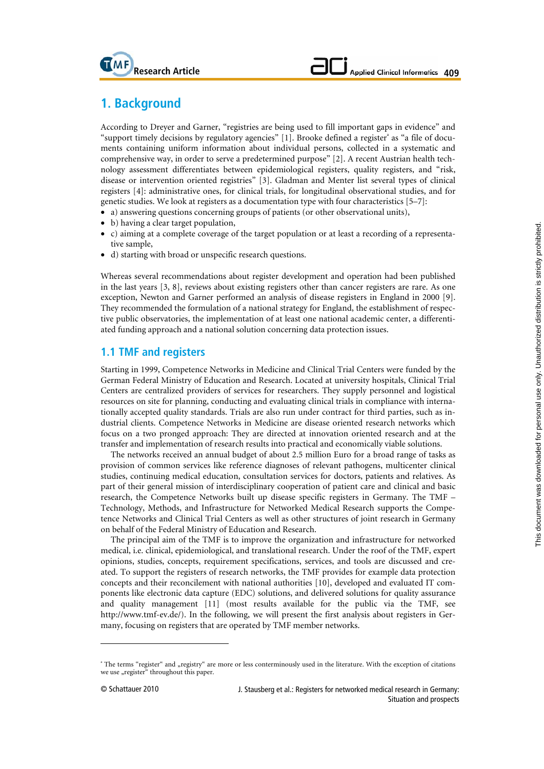# **1. Background**

 **Research Article** 

According to Dreyer and Garner, "registries are being used to fill important gaps in evidence" and "support timely decisions by regulatory agencies" [1]. Brooke defined a register<sup>a</sup> as "a file of documents containing uniform information about individual persons, collected in a systematic and comprehensive way, in order to serve a predetermined purpose" [2]. A recent Austrian health technology assessment differentiates between epidemiological registers, quality registers, and "risk, disease or intervention oriented registries" [3]. Gladman and Menter list several types of clinical registers [4]: administrative ones, for clinical trials, for longitudinal observational studies, and for genetic studies. We look at registers as a documentation type with four characteristics [5–7]:

- a) answering questions concerning groups of patients (or other observational units),
- b) having a clear target population,
- c) aiming at a complete coverage of the target population or at least a recording of a representative sample,
- d) starting with broad or unspecific research questions.

Whereas several recommendations about register development and operation had been published in the last years [3, 8], reviews about existing registers other than cancer registers are rare. As one exception, Newton and Garner performed an analysis of disease registers in England in 2000 [9]. They recommended the formulation of a national strategy for England, the establishment of respective public observatories, the implementation of at least one national academic center, a differentiated funding approach and a national solution concerning data protection issues.

## **1.1 TMF and registers**

Starting in 1999, Competence Networks in Medicine and Clinical Trial Centers were funded by the German Federal Ministry of Education and Research. Located at university hospitals, Clinical Trial Centers are centralized providers of services for researchers. They supply personnel and logistical resources on site for planning, conducting and evaluating clinical trials in compliance with internationally accepted quality standards. Trials are also run under contract for third parties, such as industrial clients. Competence Networks in Medicine are disease oriented research networks which focus on a two pronged approach: They are directed at innovation oriented research and at the transfer and implementation of research results into practical and economically viable solutions.

The networks received an annual budget of about 2.5 million Euro for a broad range of tasks as provision of common services like reference diagnoses of relevant pathogens, multicenter clinical studies, continuing medical education, consultation services for doctors, patients and relatives. As part of their general mission of interdisciplinary cooperation of patient care and clinical and basic research, the Competence Networks built up disease specific registers in Germany. The TMF – Technology, Methods, and Infrastructure for Networked Medical Research supports the Competence Networks and Clinical Trial Centers as well as other structures of joint research in Germany on behalf of the Federal Ministry of Education and Research.

The principal aim of the TMF is to improve the organization and infrastructure for networked medical, i.e. clinical, epidemiological, and translational research. Under the roof of the TMF, expert opinions, studies, concepts, requirement specifications, services, and tools are discussed and created. To support the registers of research networks, the TMF provides for example data protection concepts and their reconcilement with national authorities [10], developed and evaluated IT components like electronic data capture (EDC) solutions, and delivered solutions for quality assurance and quality management [11] (most results available for the public via the TMF, see http://www.tmf-ev.de/). In the following, we will present the first analysis about registers in Germany, focusing on registers that are operated by TMF member networks.

-

<sup>&</sup>lt;sup>a</sup> The terms "register" and "registry" are more or less conterminously used in the literature. With the exception of citations we use "register" throughout this paper.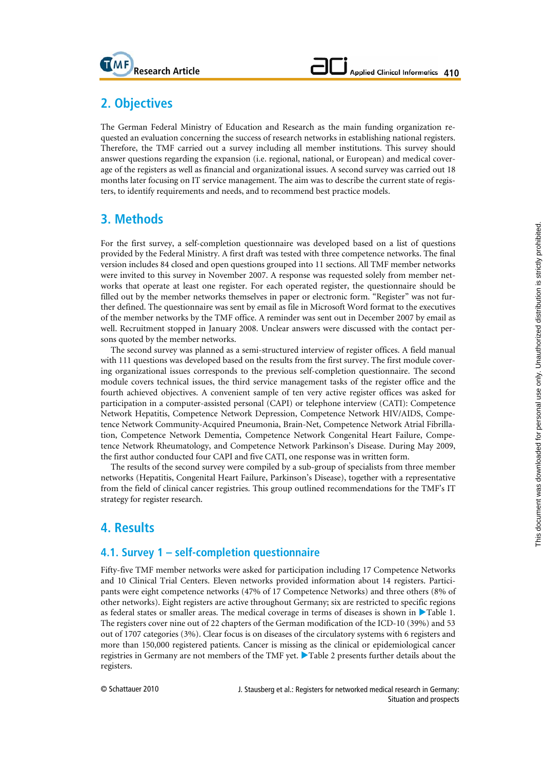

# **2. Objectives**

The German Federal Ministry of Education and Research as the main funding organization requested an evaluation concerning the success of research networks in establishing national registers. Therefore, the TMF carried out a survey including all member institutions. This survey should answer questions regarding the expansion (i.e. regional, national, or European) and medical coverage of the registers as well as financial and organizational issues. A second survey was carried out 18 months later focusing on IT service management. The aim was to describe the current state of registers, to identify requirements and needs, and to recommend best practice models.

# **3. Methods**

For the first survey, a self-completion questionnaire was developed based on a list of questions provided by the Federal Ministry. A first draft was tested with three competence networks. The final version includes 84 closed and open questions grouped into 11 sections. All TMF member networks were invited to this survey in November 2007. A response was requested solely from member networks that operate at least one register. For each operated register, the questionnaire should be filled out by the member networks themselves in paper or electronic form. "Register" was not further defined. The questionnaire was sent by email as file in Microsoft Word format to the executives of the member networks by the TMF office. A reminder was sent out in December 2007 by email as well. Recruitment stopped in January 2008. Unclear answers were discussed with the contact persons quoted by the member networks.

The second survey was planned as a semi-structured interview of register offices. A field manual with 111 questions was developed based on the results from the first survey. The first module covering organizational issues corresponds to the previous self-completion questionnaire. The second module covers technical issues, the third service management tasks of the register office and the fourth achieved objectives. A convenient sample of ten very active register offices was asked for participation in a computer-assisted personal (CAPI) or telephone interview (CATI): Competence Network Hepatitis, Competence Network Depression, Competence Network HIV/AIDS, Competence Network Community-Acquired Pneumonia, Brain-Net, Competence Network Atrial Fibrillation, Competence Network Dementia, Competence Network Congenital Heart Failure, Competence Network Rheumatology, and Competence Network Parkinson's Disease. During May 2009, the first author conducted four CAPI and five CATI, one response was in written form.

The results of the second survey were compiled by a sub-group of specialists from three member networks (Hepatitis, Congenital Heart Failure, Parkinson's Disease), together with a representative from the field of clinical cancer registries. This group outlined recommendations for the TMF's IT strategy for register research.

# **4. Results**

## **4.1. Survey 1 – self-completion questionnaire**

Fifty-five TMF member networks were asked for participation including 17 Competence Networks and 10 Clinical Trial Centers. Eleven networks provided information about 14 registers. Participants were eight competence networks (47% of 17 Competence Networks) and three others (8% of other networks). Eight registers are active throughout Germany; six are restricted to specific regions as federal states or smaller areas. The medical coverage in terms of diseases is shown in  $\blacktriangleright$  Table 1. The registers cover nine out of 22 chapters of the German modification of the ICD-10 (39%) and 53 out of 1707 categories (3%). Clear focus is on diseases of the circulatory systems with 6 registers and more than 150,000 registered patients. Cancer is missing as the clinical or epidemiological cancer registries in Germany are not members of the TMF yet. Table 2 presents further details about the registers.

© Schattauer 2010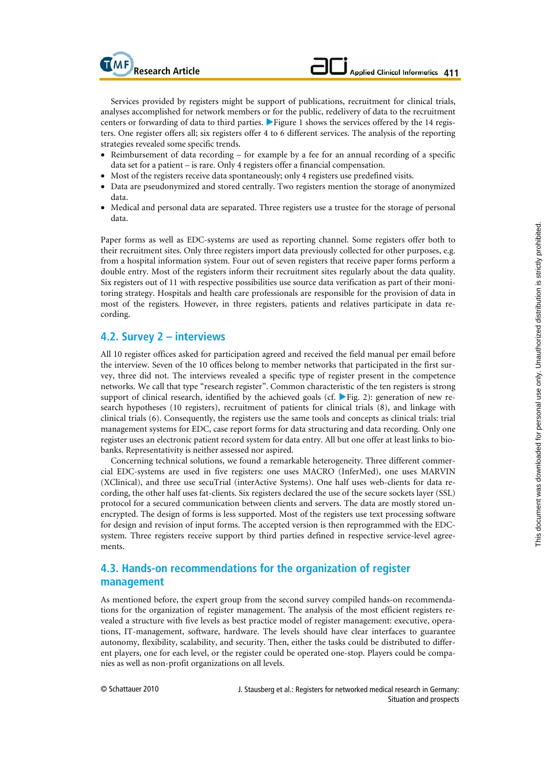Services provided by registers might be support of publications, recruitment for clinical trials, analyses accomplished for network members or for the public, redelivery of data to the recruitment centers or forwarding of data to third parties.  $\blacktriangleright$  Figure 1 shows the services offered by the 14 registers. One register offers all; six registers offer 4 to 6 different services. The analysis of the reporting strategies revealed some specific trends.

- Reimbursement of data recording for example by a fee for an annual recording of a specific data set for a patient – is rare. Only 4 registers offer a financial compensation.
- Most of the registers receive data spontaneously; only 4 registers use predefined visits.
- Data are pseudonymized and stored centrally. Two registers mention the storage of anonymized data.
- Medical and personal data are separated. Three registers use a trustee for the storage of personal data.

Paper forms as well as EDC-systems are used as reporting channel. Some registers offer both to their recruitment sites. Only three registers import data previously collected for other purposes, e.g. from a hospital information system. Four out of seven registers that receive paper forms perform a double entry. Most of the registers inform their recruitment sites regularly about the data quality. Six registers out of 11 with respective possibilities use source data verification as part of their monitoring strategy. Hospitals and health care professionals are responsible for the provision of data in most of the registers. However, in three registers, patients and relatives participate in data recording.

## **4.2. Survey 2 – interviews**

All 10 register offices asked for participation agreed and received the field manual per email before the interview. Seven of the 10 offices belong to member networks that participated in the first survey, three did not. The interviews revealed a specific type of register present in the competence networks. We call that type "research register". Common characteristic of the ten registers is strong support of clinical research, identified by the achieved goals (cf.  $\blacktriangleright$  Fig. 2): generation of new research hypotheses (10 registers), recruitment of patients for clinical trials (8), and linkage with clinical trials (6). Consequently, the registers use the same tools and concepts as clinical trials: trial management systems for EDC, case report forms for data structuring and data recording. Only one register uses an electronic patient record system for data entry. All but one offer at least links to biobanks. Representativity is neither assessed nor aspired.

Concerning technical solutions, we found a remarkable heterogeneity. Three different commercial EDC-systems are used in five registers: one uses MACRO (InferMed), one uses MARVIN (XClinical), and three use secuTrial (interActive Systems). One half uses web-clients for data recording, the other half uses fat-clients. Six registers declared the use of the secure sockets layer (SSL) protocol for a secured communication between clients and servers. The data are mostly stored unencrypted. The design of forms is less supported. Most of the registers use text processing software for design and revision of input forms. The accepted version is then reprogrammed with the EDCsystem. Three registers receive support by third parties defined in respective service-level agreements.

## **4.3. Hands-on recommendations for the organization of register management**

As mentioned before, the expert group from the second survey compiled hands-on recommendations for the organization of register management. The analysis of the most efficient registers revealed a structure with five levels as best practice model of register management: executive, operations, IT-management, software, hardware. The levels should have clear interfaces to guarantee autonomy, flexibility, scalability, and security. Then, either the tasks could be distributed to different players, one for each level, or the register could be operated one-stop. Players could be companies as well as non-profit organizations on all levels.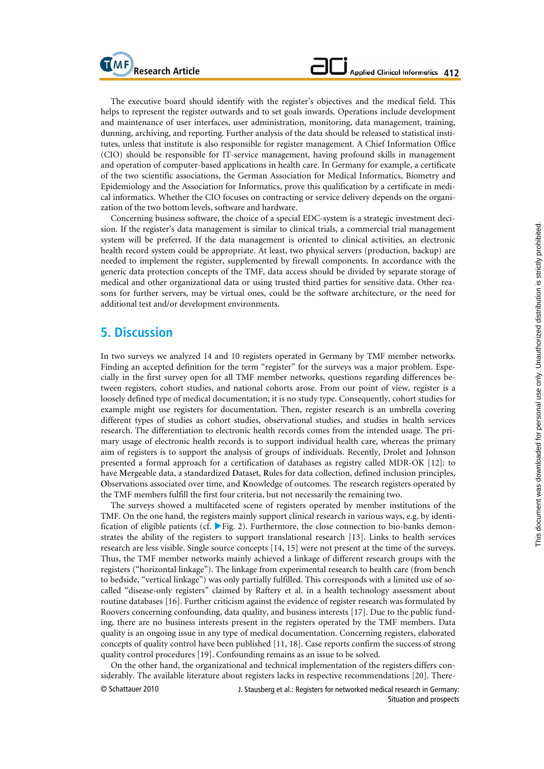The executive board should identify with the register's objectives and the medical field. This helps to represent the register outwards and to set goals inwards. Operations include development and maintenance of user interfaces, user administration, monitoring, data management, training, dunning, archiving, and reporting. Further analysis of the data should be released to statistical institutes, unless that institute is also responsible for register management. A Chief Information Office (CIO) should be responsible for IT-service management, having profound skills in management and operation of computer-based applications in health care. In Germany for example, a certificate of the two scientific associations, the German Association for Medical Informatics, Biometry and Epidemiology and the Association for Informatics, prove this qualification by a certificate in medical informatics. Whether the CIO focuses on contracting or service delivery depends on the organization of the two bottom levels, software and hardware.

Concerning business software, the choice of a special EDC-system is a strategic investment decision. If the register's data management is similar to clinical trials, a commercial trial management system will be preferred. If the data management is oriented to clinical activities, an electronic health record system could be appropriate. At least, two physical servers (production, backup) are needed to implement the register, supplemented by firewall components. In accordance with the generic data protection concepts of the TMF, data access should be divided by separate storage of medical and other organizational data or using trusted third parties for sensitive data. Other reasons for further servers, may be virtual ones, could be the software architecture, or the need for additional test and/or development environments.

## **5. Discussion**

**MF**<br>**Research Article** 

In two surveys we analyzed 14 and 10 registers operated in Germany by TMF member networks. Finding an accepted definition for the term "register" for the surveys was a major problem. Especially in the first survey open for all TMF member networks, questions regarding differences between registers, cohort studies, and national cohorts arose. From our point of view, register is a loosely defined type of medical documentation; it is no study type. Consequently, cohort studies for example might use registers for documentation. Then, register research is an umbrella covering different types of studies as cohort studies, observational studies, and studies in health services research. The differentiation to electronic health records comes from the intended usage. The primary usage of electronic health records is to support individual health care, whereas the primary aim of registers is to support the analysis of groups of individuals. Recently, Drolet and Johnson presented a formal approach for a certification of databases as registry called MDR-OK [12]: to have **M**ergeable data, a standardized **D**ataset, **R**ules for data collection, defined inclusion principles, **O**bservations associated over time, and **K**nowledge of outcomes. The research registers operated by the TMF members fulfill the first four criteria, but not necessarily the remaining two.

The surveys showed a multifaceted scene of registers operated by member institutions of the TMF. On the one hand, the registers mainly support clinical research in various ways, e.g. by identification of eligible patients (cf.  $\blacktriangleright$  Fig. 2). Furthermore, the close connection to bio-banks demonstrates the ability of the registers to support translational research [13]. Links to health services research are less visible. Single source concepts [14, 15] were not present at the time of the surveys. Thus, the TMF member networks mainly achieved a linkage of different research groups with the registers ("horizontal linkage"). The linkage from experimental research to health care (from bench to bedside, "vertical linkage") was only partially fulfilled. This corresponds with a limited use of socalled "disease-only registers" claimed by Raftery et al. in a health technology assessment about routine databases [16]. Further criticism against the evidence of register research was formulated by Roovers concerning confounding, data quality, and business interests [17]. Due to the public funding, there are no business interests present in the registers operated by the TMF members. Data quality is an ongoing issue in any type of medical documentation. Concerning registers, elaborated concepts of quality control have been published [11, 18]. Case reports confirm the success of strong quality control procedures [19]. Confounding remains as an issue to be solved.

On the other hand, the organizational and technical implementation of the registers differs considerably. The available literature about registers lacks in respective recommendations [20]. There-

© Schattauer 2010

J. Stausberg et al.: Registers for networked medical research in Germany: Situation and prospects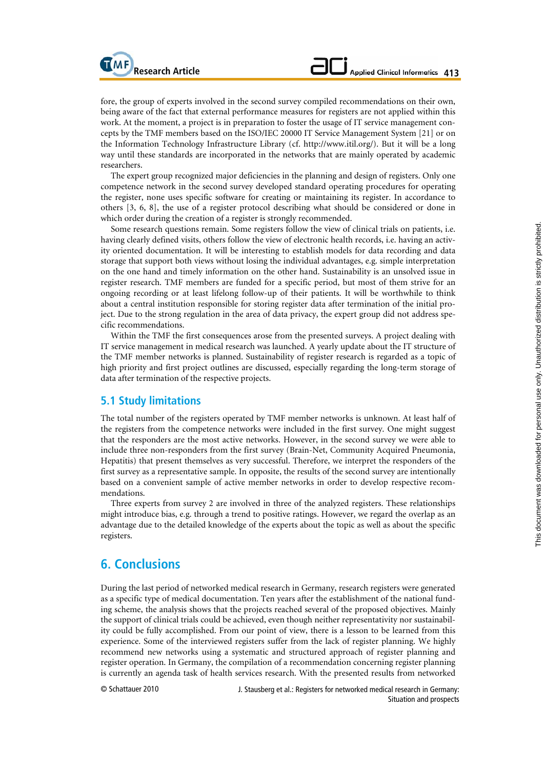fore, the group of experts involved in the second survey compiled recommendations on their own, being aware of the fact that external performance measures for registers are not applied within this work. At the moment, a project is in preparation to foster the usage of IT service management concepts by the TMF members based on the ISO/IEC 20000 IT Service Management System [21] or on the Information Technology Infrastructure Library (cf. http://www.itil.org/). But it will be a long way until these standards are incorporated in the networks that are mainly operated by academic researchers.

The expert group recognized major deficiencies in the planning and design of registers. Only one competence network in the second survey developed standard operating procedures for operating the register, none uses specific software for creating or maintaining its register. In accordance to others [3, 6, 8], the use of a register protocol describing what should be considered or done in which order during the creation of a register is strongly recommended.

Some research questions remain. Some registers follow the view of clinical trials on patients, i.e. having clearly defined visits, others follow the view of electronic health records, i.e. having an activity oriented documentation. It will be interesting to establish models for data recording and data storage that support both views without losing the individual advantages, e.g. simple interpretation on the one hand and timely information on the other hand. Sustainability is an unsolved issue in register research. TMF members are funded for a specific period, but most of them strive for an ongoing recording or at least lifelong follow-up of their patients. It will be worthwhile to think about a central institution responsible for storing register data after termination of the initial project. Due to the strong regulation in the area of data privacy, the expert group did not address specific recommendations.

Within the TMF the first consequences arose from the presented surveys. A project dealing with IT service management in medical research was launched. A yearly update about the IT structure of the TMF member networks is planned. Sustainability of register research is regarded as a topic of high priority and first project outlines are discussed, especially regarding the long-term storage of data after termination of the respective projects.

### **5.1 Study limitations**

The total number of the registers operated by TMF member networks is unknown. At least half of the registers from the competence networks were included in the first survey. One might suggest that the responders are the most active networks. However, in the second survey we were able to include three non-responders from the first survey (Brain-Net, Community Acquired Pneumonia, Hepatitis) that present themselves as very successful. Therefore, we interpret the responders of the first survey as a representative sample. In opposite, the results of the second survey are intentionally based on a convenient sample of active member networks in order to develop respective recommendations.

Three experts from survey 2 are involved in three of the analyzed registers. These relationships might introduce bias, e.g. through a trend to positive ratings. However, we regard the overlap as an advantage due to the detailed knowledge of the experts about the topic as well as about the specific registers.

## **6. Conclusions**

During the last period of networked medical research in Germany, research registers were generated as a specific type of medical documentation. Ten years after the establishment of the national funding scheme, the analysis shows that the projects reached several of the proposed objectives. Mainly the support of clinical trials could be achieved, even though neither representativity nor sustainability could be fully accomplished. From our point of view, there is a lesson to be learned from this experience. Some of the interviewed registers suffer from the lack of register planning. We highly recommend new networks using a systematic and structured approach of register planning and register operation. In Germany, the compilation of a recommendation concerning register planning is currently an agenda task of health services research. With the presented results from networked

© Schattauer 2010

J. Stausberg et al.: Registers for networked medical research in Germany: Situation and prospects

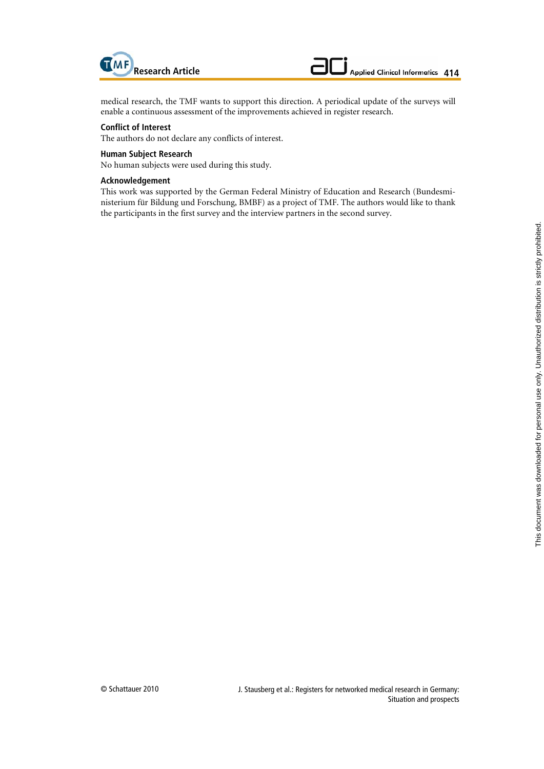

medical research, the TMF wants to support this direction. A periodical update of the surveys will enable a continuous assessment of the improvements achieved in register research.

#### **Conflict of Interest**

The authors do not declare any conflicts of interest.

#### **Human Subject Research**

No human subjects were used during this study.

#### **Acknowledgement**

This work was supported by the German Federal Ministry of Education and Research (Bundesministerium für Bildung und Forschung, BMBF) as a project of TMF. The authors would like to thank the participants in the first survey and the interview partners in the second survey.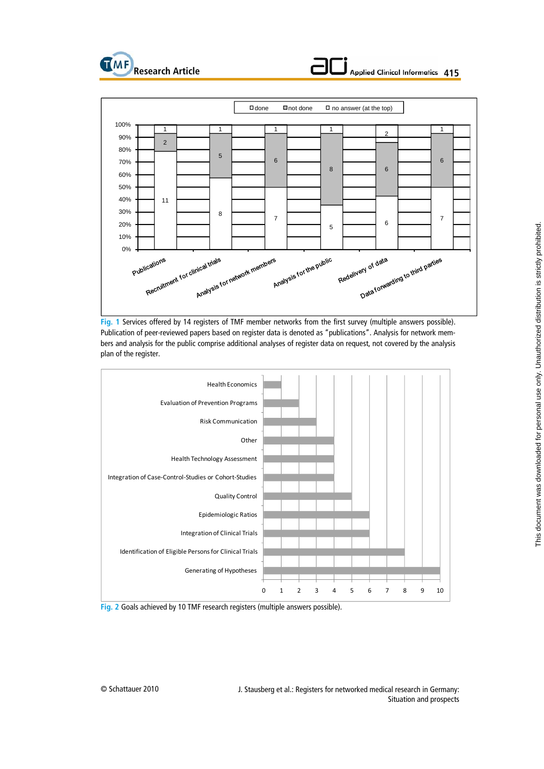





**Fig. 1** Services offered by 14 registers of TMF member networks from the first survey (multiple answers possible). Publication of peer-reviewed papers based on register data is denoted as "publications". Analysis for network members and analysis for the public comprise additional analyses of register data on request, not covered by the analysis plan of the register.





J. Stausberg et al.: Registers for networked medical research in Germany: Situation and prospects

© Schattauer 2010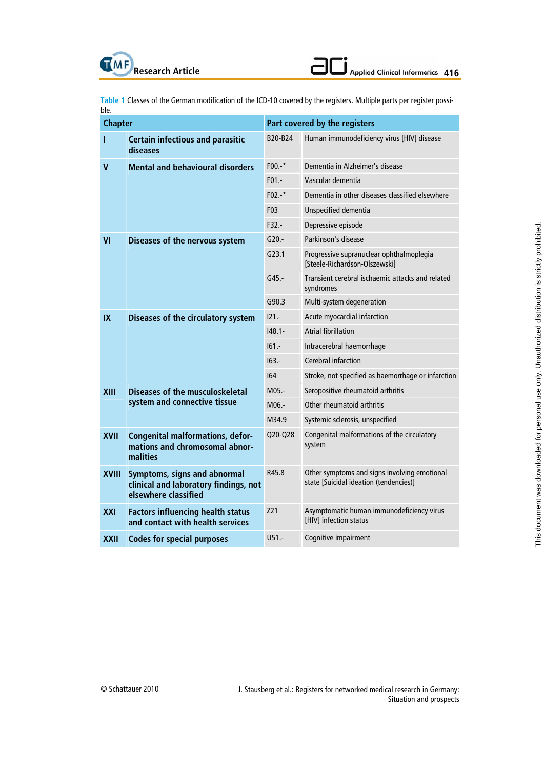**Table 1** Classes of the German modification of the ICD-10 covered by the registers. Multiple parts per register possible.

| <b>Chapter</b> |                                                                                               | Part covered by the registers |                                                                                        |  |  |
|----------------|-----------------------------------------------------------------------------------------------|-------------------------------|----------------------------------------------------------------------------------------|--|--|
| T              | <b>Certain infectious and parasitic</b><br>diseases                                           | B20-B24                       | Human immunodeficiency virus [HIV] disease                                             |  |  |
| v              | <b>Mental and behavioural disorders</b>                                                       | $F00.-*$                      | Dementia in Alzheimer's disease                                                        |  |  |
|                |                                                                                               | $F01 -$                       | Vascular dementia                                                                      |  |  |
|                |                                                                                               | $F02.4*$                      | Dementia in other diseases classified elsewhere                                        |  |  |
|                |                                                                                               | F03                           | Unspecified dementia                                                                   |  |  |
|                |                                                                                               | $F32. -$                      | Depressive episode                                                                     |  |  |
| VI             | Diseases of the nervous system                                                                | $G20. -$                      | Parkinson's disease                                                                    |  |  |
|                |                                                                                               | G23.1                         | Progressive supranuclear ophthalmoplegia<br>[Steele-Richardson-Olszewski]              |  |  |
|                |                                                                                               | $G45. -$                      | Transient cerebral ischaemic attacks and related<br>syndromes                          |  |  |
|                |                                                                                               | G90.3                         | Multi-system degeneration                                                              |  |  |
| IX             | Diseases of the circulatory system                                                            | $121 -$                       | Acute myocardial infarction                                                            |  |  |
|                |                                                                                               | $148.1 -$                     | <b>Atrial fibrillation</b>                                                             |  |  |
|                |                                                                                               | $161 -$                       | Intracerebral haemorrhage                                                              |  |  |
|                |                                                                                               | $163 -$                       | Cerebral infarction                                                                    |  |  |
|                |                                                                                               | 164                           | Stroke, not specified as haemorrhage or infarction                                     |  |  |
| <b>XIII</b>    | <b>Diseases of the musculoskeletal</b><br>system and connective tissue                        | $M05.-$                       | Seropositive rheumatoid arthritis                                                      |  |  |
|                |                                                                                               | M06.-                         | Other rheumatoid arthritis                                                             |  |  |
|                |                                                                                               | M34.9                         | Systemic sclerosis, unspecified                                                        |  |  |
| <b>XVII</b>    | <b>Congenital malformations, defor-</b><br>mations and chromosomal abnor-<br>malities         | Q20-Q28                       | Congenital malformations of the circulatory<br>system                                  |  |  |
| <b>XVIII</b>   | Symptoms, signs and abnormal<br>clinical and laboratory findings, not<br>elsewhere classified | R45.8                         | Other symptoms and signs involving emotional<br>state [Suicidal ideation (tendencies)] |  |  |
| XXI            | <b>Factors influencing health status</b><br>and contact with health services                  | Z21                           | Asymptomatic human immunodeficiency virus<br>[HIV] infection status                    |  |  |
| XXII           | <b>Codes for special purposes</b>                                                             | $U51. -$                      | Cognitive impairment                                                                   |  |  |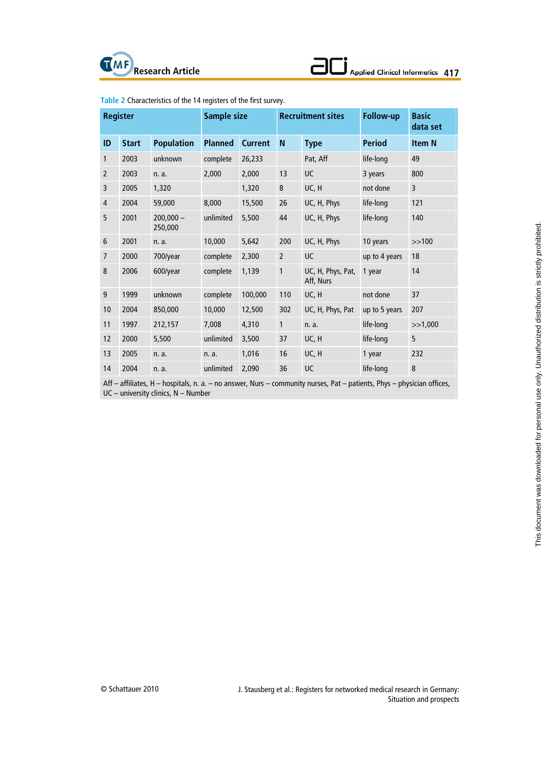

| Applied Clinical Informatics 417 |  |  |  |  |
|----------------------------------|--|--|--|--|

| <b>Register</b> |              |                        | Sample size    |                | <b>Recruitment sites</b> |                                | Follow-up     | <b>Basic</b><br>data set |
|-----------------|--------------|------------------------|----------------|----------------|--------------------------|--------------------------------|---------------|--------------------------|
| ID              | <b>Start</b> | <b>Population</b>      | <b>Planned</b> | <b>Current</b> | N                        | <b>Type</b>                    | <b>Period</b> | <b>Item N</b>            |
| $\mathbf{1}$    | 2003         | unknown                | complete       | 26,233         |                          | Pat, Aff                       | life-long     | 49                       |
| $\overline{2}$  | 2003         | n. a.                  | 2,000          | 2,000          | 13                       | UC                             | 3 years       | 800                      |
| 3               | 2005         | 1,320                  |                | 1,320          | $\bf 8$                  | UC, H                          | not done      | 3                        |
| $\overline{4}$  | 2004         | 59,000                 | 8,000          | 15,500         | 26                       | UC, H, Phys                    | life-long     | 121                      |
| 5               | 2001         | $200.000 -$<br>250,000 | unlimited      | 5,500          | 44                       | UC, H, Phys                    | life-long     | 140                      |
| 6               | 2001         | n. a.                  | 10,000         | 5,642          | 200                      | UC, H, Phys                    | 10 years      | >>100                    |
| $\overline{7}$  | 2000         | 700/year               | complete       | 2,300          | $\overline{2}$           | UC                             | up to 4 years | 18                       |
| 8               | 2006         | 600/year               | complete       | 1,139          | $\mathbf{1}$             | UC, H, Phys, Pat,<br>Aff, Nurs | 1 year        | 14                       |
| 9               | 1999         | unknown                | complete       | 100,000        | 110                      | UC, H                          | not done      | 37                       |
| 10              | 2004         | 850,000                | 10,000         | 12,500         | 302                      | UC, H, Phys, Pat               | up to 5 years | 207                      |
| 11              | 1997         | 212,157                | 7,008          | 4,310          | $\mathbf{1}$             | n. a.                          | life-long     | >>1,000                  |
| 12              | 2000         | 5,500                  | unlimited      | 3,500          | 37                       | UC, H                          | life-long     | 5                        |
| 13              | 2005         | n. a.                  | n. a.          | 1,016          | 16                       | UC, H                          | 1 year        | 232                      |
| 14              | 2004         | n. a.                  | unlimited      | 2,090          | 36                       | UC                             | life-long     | 8                        |

**Table 2** Characteristics of the 14 registers of the first survey.

Aff – affiliates, H – hospitals, n. a. – no answer, Nurs – community nurses, Pat – patients, Phys – physician offices, UC – university clinics, N – Number